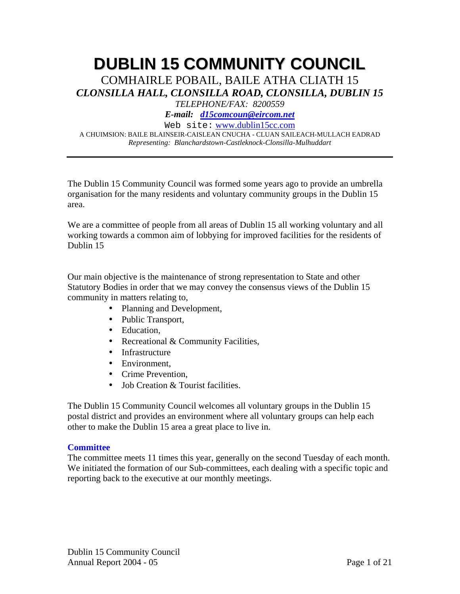# **DUBLIN 15 COMMUNITY COUNCIL**

COMHAIRLE POBAIL, BAILE ATHA CLIATH 15 *CLONSILLA HALL, CLONSILLA ROAD, CLONSILLA, DUBLIN 15* 

*TELEPHONE/FAX: 8200559* 

*E-mail: d15comcoun@eircom.net*

Web site: www.dublin15cc.com

A CHUIMSION: BAILE BLAINSEIR-CAISLEAN CNUCHA - CLUAN SAILEACH-MULLACH EADRAD *Representing: Blanchardstown-Castleknock-Clonsilla-Mulhuddart* 

The Dublin 15 Community Council was formed some years ago to provide an umbrella organisation for the many residents and voluntary community groups in the Dublin 15 area.

We are a committee of people from all areas of Dublin 15 all working voluntary and all working towards a common aim of lobbying for improved facilities for the residents of Dublin 15

Our main objective is the maintenance of strong representation to State and other Statutory Bodies in order that we may convey the consensus views of the Dublin 15 community in matters relating to,

- Planning and Development,
- Public Transport,
- Education,
- Recreational & Community Facilities,
- Infrastructure
- Environment.
- Crime Prevention.
- Job Creation & Tourist facilities.

The Dublin 15 Community Council welcomes all voluntary groups in the Dublin 15 postal district and provides an environment where all voluntary groups can help each other to make the Dublin 15 area a great place to live in.

#### **Committee**

The committee meets 11 times this year, generally on the second Tuesday of each month. We initiated the formation of our Sub-committees, each dealing with a specific topic and reporting back to the executive at our monthly meetings.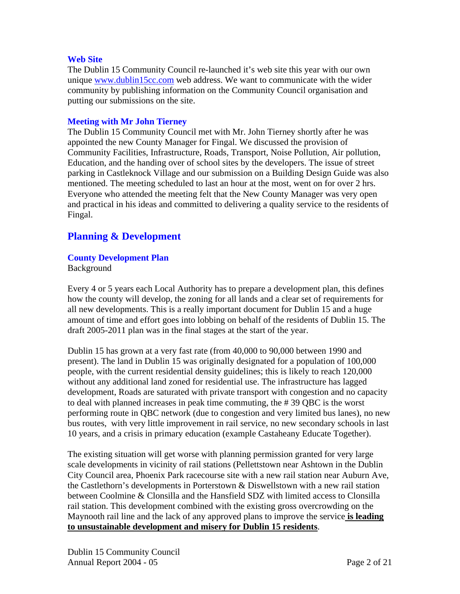#### **Web Site**

The Dublin 15 Community Council re-launched it's web site this year with our own unique www.dublin15cc.com web address. We want to communicate with the wider community by publishing information on the Community Council organisation and putting our submissions on the site.

#### **Meeting with Mr John Tierney**

The Dublin 15 Community Council met with Mr. John Tierney shortly after he was appointed the new County Manager for Fingal. We discussed the provision of Community Facilities, Infrastructure, Roads, Transport, Noise Pollution, Air pollution, Education, and the handing over of school sites by the developers. The issue of street parking in Castleknock Village and our submission on a Building Design Guide was also mentioned. The meeting scheduled to last an hour at the most, went on for over 2 hrs. Everyone who attended the meeting felt that the New County Manager was very open and practical in his ideas and committed to delivering a quality service to the residents of Fingal.

## **Planning & Development**

#### **County Development Plan**

Background

Every 4 or 5 years each Local Authority has to prepare a development plan, this defines how the county will develop, the zoning for all lands and a clear set of requirements for all new developments. This is a really important document for Dublin 15 and a huge amount of time and effort goes into lobbing on behalf of the residents of Dublin 15. The draft 2005-2011 plan was in the final stages at the start of the year.

Dublin 15 has grown at a very fast rate (from 40,000 to 90,000 between 1990 and present). The land in Dublin 15 was originally designated for a population of 100,000 people, with the current residential density guidelines; this is likely to reach 120,000 without any additional land zoned for residential use. The infrastructure has lagged development, Roads are saturated with private transport with congestion and no capacity to deal with planned increases in peak time commuting, the # 39 QBC is the worst performing route in QBC network (due to congestion and very limited bus lanes), no new bus routes, with very little improvement in rail service, no new secondary schools in last 10 years, and a crisis in primary education (example Castaheany Educate Together).

The existing situation will get worse with planning permission granted for very large scale developments in vicinity of rail stations (Pellettstown near Ashtown in the Dublin City Council area, Phoenix Park racecourse site with a new rail station near Auburn Ave, the Castlethorn's developments in Porterstown & Diswellstown with a new rail station between Coolmine & Clonsilla and the Hansfield SDZ with limited access to Clonsilla rail station. This development combined with the existing gross overcrowding on the Maynooth rail line and the lack of any approved plans to improve the service **is leading to unsustainable development and misery for Dublin 15 residents**.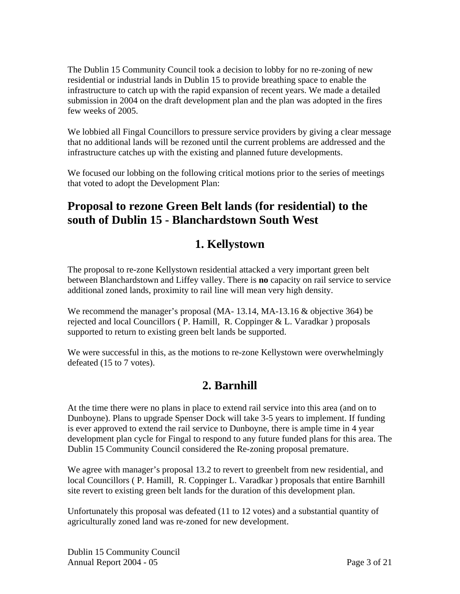The Dublin 15 Community Council took a decision to lobby for no re-zoning of new residential or industrial lands in Dublin 15 to provide breathing space to enable the infrastructure to catch up with the rapid expansion of recent years. We made a detailed submission in 2004 on the draft development plan and the plan was adopted in the fires few weeks of 2005.

We lobbied all Fingal Councillors to pressure service providers by giving a clear message that no additional lands will be rezoned until the current problems are addressed and the infrastructure catches up with the existing and planned future developments.

We focused our lobbing on the following critical motions prior to the series of meetings that voted to adopt the Development Plan:

## **Proposal to rezone Green Belt lands (for residential) to the south of Dublin 15 - Blanchardstown South West**

# **1. Kellystown**

The proposal to re-zone Kellystown residential attacked a very important green belt between Blanchardstown and Liffey valley. There is **no** capacity on rail service to service additional zoned lands, proximity to rail line will mean very high density.

We recommend the manager's proposal (MA-13.14, MA-13.16 & objective 364) be rejected and local Councillors ( P. Hamill, R. Coppinger & L. Varadkar ) proposals supported to return to existing green belt lands be supported.

We were successful in this, as the motions to re-zone Kellystown were overwhelmingly defeated (15 to 7 votes).

# **2. Barnhill**

At the time there were no plans in place to extend rail service into this area (and on to Dunboyne). Plans to upgrade Spenser Dock will take 3-5 years to implement. If funding is ever approved to extend the rail service to Dunboyne, there is ample time in 4 year development plan cycle for Fingal to respond to any future funded plans for this area. The Dublin 15 Community Council considered the Re-zoning proposal premature.

We agree with manager's proposal 13.2 to revert to greenbelt from new residential, and local Councillors ( P. Hamill, R. Coppinger L. Varadkar ) proposals that entire Barnhill site revert to existing green belt lands for the duration of this development plan.

Unfortunately this proposal was defeated (11 to 12 votes) and a substantial quantity of agriculturally zoned land was re-zoned for new development.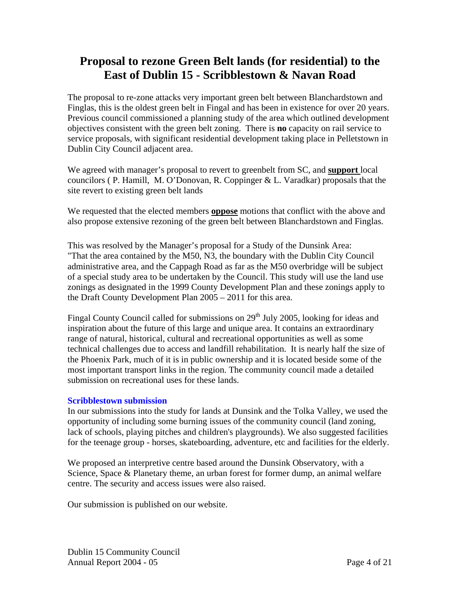## **Proposal to rezone Green Belt lands (for residential) to the East of Dublin 15 - Scribblestown & Navan Road**

The proposal to re-zone attacks very important green belt between Blanchardstown and Finglas, this is the oldest green belt in Fingal and has been in existence for over 20 years. Previous council commissioned a planning study of the area which outlined development objectives consistent with the green belt zoning. There is **no** capacity on rail service to service proposals, with significant residential development taking place in Pelletstown in Dublin City Council adjacent area.

We agreed with manager's proposal to revert to greenbelt from SC, and **support** local councilors ( P. Hamill, M. O'Donovan, R. Coppinger & L. Varadkar) proposals that the site revert to existing green belt lands

We requested that the elected members **oppose** motions that conflict with the above and also propose extensive rezoning of the green belt between Blanchardstown and Finglas.

This was resolved by the Manager's proposal for a Study of the Dunsink Area: "That the area contained by the M50, N3, the boundary with the Dublin City Council administrative area, and the Cappagh Road as far as the M50 overbridge will be subject of a special study area to be undertaken by the Council. This study will use the land use zonings as designated in the 1999 County Development Plan and these zonings apply to the Draft County Development Plan 2005 – 2011 for this area.

Fingal County Council called for submissions on  $29<sup>th</sup>$  July 2005, looking for ideas and inspiration about the future of this large and unique area. It contains an extraordinary range of natural, historical, cultural and recreational opportunities as well as some technical challenges due to access and landfill rehabilitation. It is nearly half the size of the Phoenix Park, much of it is in public ownership and it is located beside some of the most important transport links in the region. The community council made a detailed submission on recreational uses for these lands.

#### **Scribblestown submission**

In our submissions into the study for lands at Dunsink and the Tolka Valley, we used the opportunity of including some burning issues of the community council (land zoning, lack of schools, playing pitches and children's playgrounds). We also suggested facilities for the teenage group - horses, skateboarding, adventure, etc and facilities for the elderly.

We proposed an interpretive centre based around the Dunsink Observatory, with a Science, Space & Planetary theme, an urban forest for former dump, an animal welfare centre. The security and access issues were also raised.

Our submission is published on our website.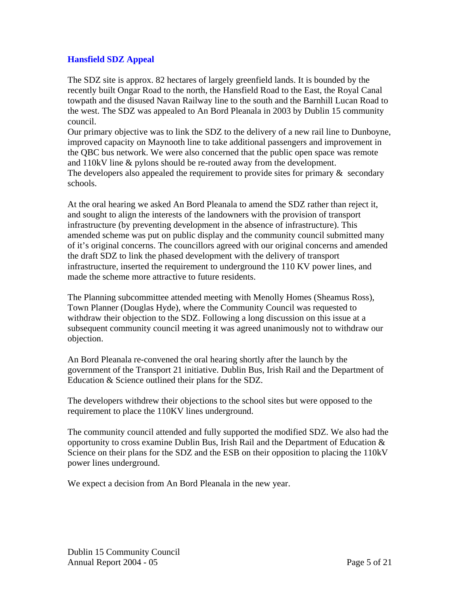#### **Hansfield SDZ Appeal**

The SDZ site is approx. 82 hectares of largely greenfield lands. It is bounded by the recently built Ongar Road to the north, the Hansfield Road to the East, the Royal Canal towpath and the disused Navan Railway line to the south and the Barnhill Lucan Road to the west. The SDZ was appealed to An Bord Pleanala in 2003 by Dublin 15 community council.

Our primary objective was to link the SDZ to the delivery of a new rail line to Dunboyne, improved capacity on Maynooth line to take additional passengers and improvement in the QBC bus network. We were also concerned that the public open space was remote and 110kV line & pylons should be re-routed away from the development. The developers also appealed the requirement to provide sites for primary  $\&$  secondary schools.

At the oral hearing we asked An Bord Pleanala to amend the SDZ rather than reject it, and sought to align the interests of the landowners with the provision of transport infrastructure (by preventing development in the absence of infrastructure). This amended scheme was put on public display and the community council submitted many of it's original concerns. The councillors agreed with our original concerns and amended the draft SDZ to link the phased development with the delivery of transport infrastructure, inserted the requirement to underground the 110 KV power lines, and made the scheme more attractive to future residents.

The Planning subcommittee attended meeting with Menolly Homes (Sheamus Ross), Town Planner (Douglas Hyde), where the Community Council was requested to withdraw their objection to the SDZ. Following a long discussion on this issue at a subsequent community council meeting it was agreed unanimously not to withdraw our objection.

An Bord Pleanala re-convened the oral hearing shortly after the launch by the government of the Transport 21 initiative. Dublin Bus, Irish Rail and the Department of Education & Science outlined their plans for the SDZ.

The developers withdrew their objections to the school sites but were opposed to the requirement to place the 110KV lines underground.

The community council attended and fully supported the modified SDZ. We also had the opportunity to cross examine Dublin Bus, Irish Rail and the Department of Education & Science on their plans for the SDZ and the ESB on their opposition to placing the 110kV power lines underground.

We expect a decision from An Bord Pleanala in the new year.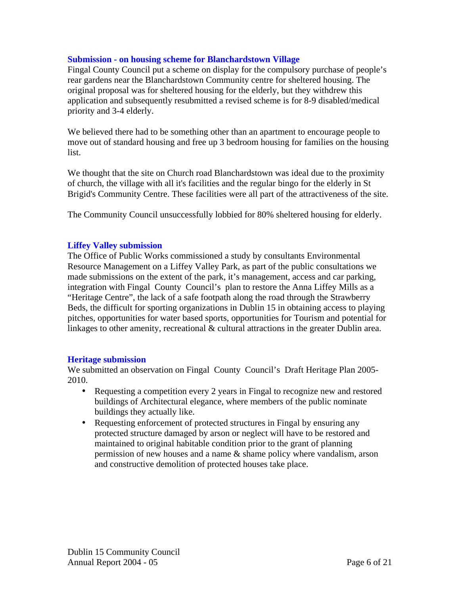#### **Submission - on housing scheme for Blanchardstown Village**

Fingal County Council put a scheme on display for the compulsory purchase of people's rear gardens near the Blanchardstown Community centre for sheltered housing. The original proposal was for sheltered housing for the elderly, but they withdrew this application and subsequently resubmitted a revised scheme is for 8-9 disabled/medical priority and 3-4 elderly.

We believed there had to be something other than an apartment to encourage people to move out of standard housing and free up 3 bedroom housing for families on the housing list.

We thought that the site on Church road Blanchardstown was ideal due to the proximity of church, the village with all it's facilities and the regular bingo for the elderly in St Brigid's Community Centre. These facilities were all part of the attractiveness of the site.

The Community Council unsuccessfully lobbied for 80% sheltered housing for elderly.

#### **Liffey Valley submission**

The Office of Public Works commissioned a study by consultants Environmental Resource Management on a Liffey Valley Park, as part of the public consultations we made submissions on the extent of the park, it's management, access and car parking, integration with Fingal County Council's plan to restore the Anna Liffey Mills as a "Heritage Centre", the lack of a safe footpath along the road through the Strawberry Beds, the difficult for sporting organizations in Dublin 15 in obtaining access to playing pitches, opportunities for water based sports, opportunities for Tourism and potential for linkages to other amenity, recreational & cultural attractions in the greater Dublin area.

#### **Heritage submission**

We submitted an observation on Fingal County Council's Draft Heritage Plan 2005- 2010.

- Requesting a competition every 2 years in Fingal to recognize new and restored buildings of Architectural elegance, where members of the public nominate buildings they actually like.
- Requesting enforcement of protected structures in Fingal by ensuring any protected structure damaged by arson or neglect will have to be restored and maintained to original habitable condition prior to the grant of planning permission of new houses and a name & shame policy where vandalism, arson and constructive demolition of protected houses take place.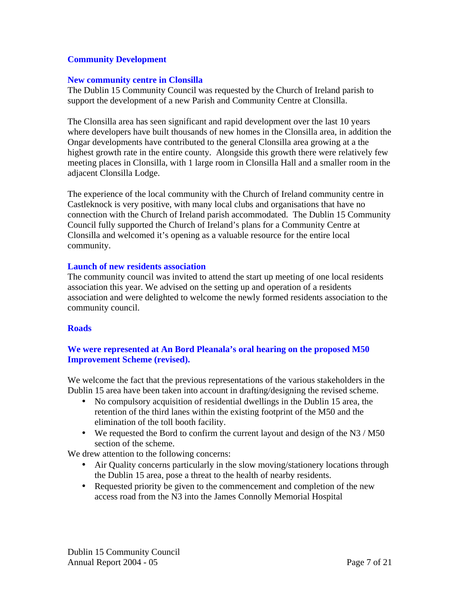#### **Community Development**

#### **New community centre in Clonsilla**

The Dublin 15 Community Council was requested by the Church of Ireland parish to support the development of a new Parish and Community Centre at Clonsilla.

The Clonsilla area has seen significant and rapid development over the last 10 years where developers have built thousands of new homes in the Clonsilla area, in addition the Ongar developments have contributed to the general Clonsilla area growing at a the highest growth rate in the entire county. Alongside this growth there were relatively few meeting places in Clonsilla, with 1 large room in Clonsilla Hall and a smaller room in the adjacent Clonsilla Lodge.

The experience of the local community with the Church of Ireland community centre in Castleknock is very positive, with many local clubs and organisations that have no connection with the Church of Ireland parish accommodated. The Dublin 15 Community Council fully supported the Church of Ireland's plans for a Community Centre at Clonsilla and welcomed it's opening as a valuable resource for the entire local community.

#### **Launch of new residents association**

The community council was invited to attend the start up meeting of one local residents association this year. We advised on the setting up and operation of a residents association and were delighted to welcome the newly formed residents association to the community council.

#### **Roads**

#### **We were represented at An Bord Pleanala's oral hearing on the proposed M50 Improvement Scheme (revised).**

We welcome the fact that the previous representations of the various stakeholders in the Dublin 15 area have been taken into account in drafting/designing the revised scheme.

- No compulsory acquisition of residential dwellings in the Dublin 15 area, the retention of the third lanes within the existing footprint of the M50 and the elimination of the toll booth facility.
- We requested the Bord to confirm the current layout and design of the N3 / M50 section of the scheme.

We drew attention to the following concerns:

- Air Quality concerns particularly in the slow moving/stationery locations through the Dublin 15 area, pose a threat to the health of nearby residents.
- Requested priority be given to the commencement and completion of the new access road from the N3 into the James Connolly Memorial Hospital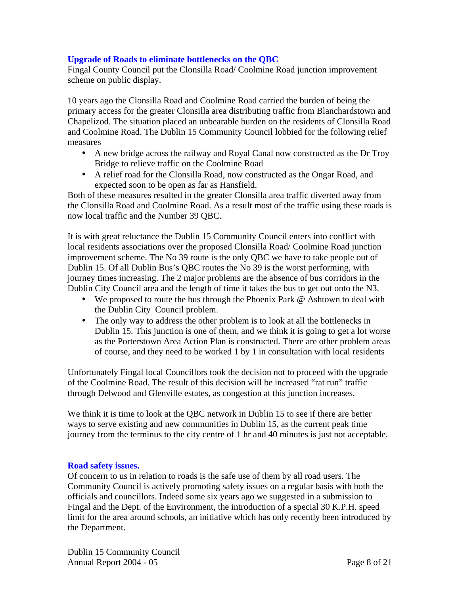#### **Upgrade of Roads to eliminate bottlenecks on the QBC**

Fingal County Council put the Clonsilla Road/ Coolmine Road junction improvement scheme on public display.

10 years ago the Clonsilla Road and Coolmine Road carried the burden of being the primary access for the greater Clonsilla area distributing traffic from Blanchardstown and Chapelizod. The situation placed an unbearable burden on the residents of Clonsilla Road and Coolmine Road. The Dublin 15 Community Council lobbied for the following relief measures

- A new bridge across the railway and Royal Canal now constructed as the Dr Troy Bridge to relieve traffic on the Coolmine Road
- A relief road for the Clonsilla Road, now constructed as the Ongar Road, and expected soon to be open as far as Hansfield.

Both of these measures resulted in the greater Clonsilla area traffic diverted away from the Clonsilla Road and Coolmine Road. As a result most of the traffic using these roads is now local traffic and the Number 39 QBC.

It is with great reluctance the Dublin 15 Community Council enters into conflict with local residents associations over the proposed Clonsilla Road/ Coolmine Road junction improvement scheme. The No 39 route is the only QBC we have to take people out of Dublin 15. Of all Dublin Bus's QBC routes the No 39 is the worst performing, with journey times increasing. The 2 major problems are the absence of bus corridors in the Dublin City Council area and the length of time it takes the bus to get out onto the N3.

- We proposed to route the bus through the Phoenix Park @ Ashtown to deal with the Dublin City Council problem.
- The only way to address the other problem is to look at all the bottlenecks in Dublin 15. This junction is one of them, and we think it is going to get a lot worse as the Porterstown Area Action Plan is constructed. There are other problem areas of course, and they need to be worked 1 by 1 in consultation with local residents

Unfortunately Fingal local Councillors took the decision not to proceed with the upgrade of the Coolmine Road. The result of this decision will be increased "rat run" traffic through Delwood and Glenville estates, as congestion at this junction increases.

We think it is time to look at the QBC network in Dublin 15 to see if there are better ways to serve existing and new communities in Dublin 15, as the current peak time journey from the terminus to the city centre of 1 hr and 40 minutes is just not acceptable.

#### **Road safety issues.**

Of concern to us in relation to roads is the safe use of them by all road users. The Community Council is actively promoting safety issues on a regular basis with both the officials and councillors. Indeed some six years ago we suggested in a submission to Fingal and the Dept. of the Environment, the introduction of a special 30 K.P.H. speed limit for the area around schools, an initiative which has only recently been introduced by the Department.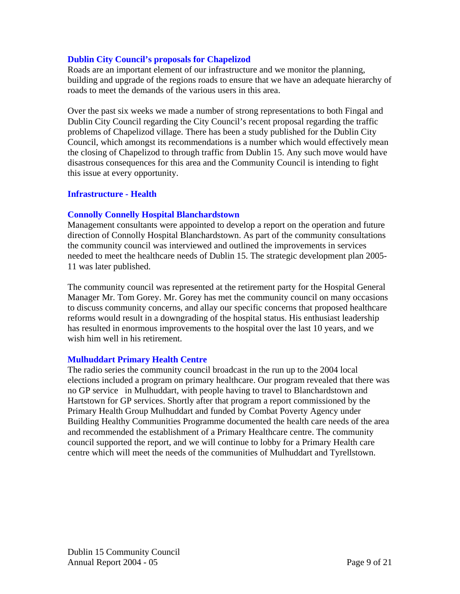#### **Dublin City Council's proposals for Chapelizod**

Roads are an important element of our infrastructure and we monitor the planning, building and upgrade of the regions roads to ensure that we have an adequate hierarchy of roads to meet the demands of the various users in this area.

Over the past six weeks we made a number of strong representations to both Fingal and Dublin City Council regarding the City Council's recent proposal regarding the traffic problems of Chapelizod village. There has been a study published for the Dublin City Council, which amongst its recommendations is a number which would effectively mean the closing of Chapelizod to through traffic from Dublin 15. Any such move would have disastrous consequences for this area and the Community Council is intending to fight this issue at every opportunity.

#### **Infrastructure - Health**

#### **Connolly Connelly Hospital Blanchardstown**

Management consultants were appointed to develop a report on the operation and future direction of Connolly Hospital Blanchardstown. As part of the community consultations the community council was interviewed and outlined the improvements in services needed to meet the healthcare needs of Dublin 15. The strategic development plan 2005- 11 was later published.

The community council was represented at the retirement party for the Hospital General Manager Mr. Tom Gorey. Mr. Gorey has met the community council on many occasions to discuss community concerns, and allay our specific concerns that proposed healthcare reforms would result in a downgrading of the hospital status. His enthusiast leadership has resulted in enormous improvements to the hospital over the last 10 years, and we wish him well in his retirement.

#### **Mulhuddart Primary Health Centre**

The radio series the community council broadcast in the run up to the 2004 local elections included a program on primary healthcare. Our program revealed that there was no GP service in Mulhuddart, with people having to travel to Blanchardstown and Hartstown for GP services. Shortly after that program a report commissioned by the Primary Health Group Mulhuddart and funded by Combat Poverty Agency under Building Healthy Communities Programme documented the health care needs of the area and recommended the establishment of a Primary Healthcare centre. The community council supported the report, and we will continue to lobby for a Primary Health care centre which will meet the needs of the communities of Mulhuddart and Tyrellstown.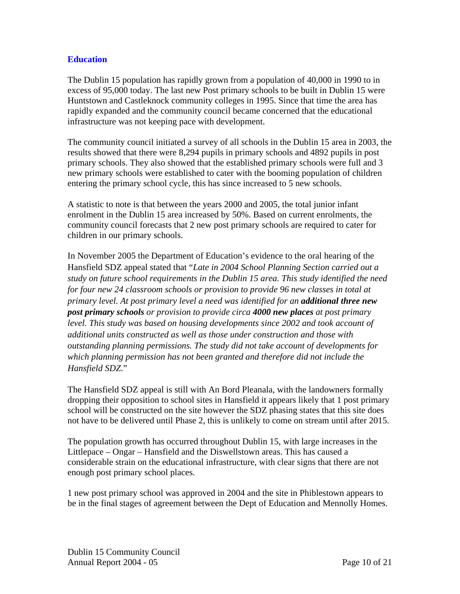#### **Education**

The Dublin 15 population has rapidly grown from a population of 40,000 in 1990 to in excess of 95,000 today. The last new Post primary schools to be built in Dublin 15 were Huntstown and Castleknock community colleges in 1995. Since that time the area has rapidly expanded and the community council became concerned that the educational infrastructure was not keeping pace with development.

The community council initiated a survey of all schools in the Dublin 15 area in 2003, the results showed that there were 8,294 pupils in primary schools and 4892 pupils in post primary schools. They also showed that the established primary schools were full and 3 new primary schools were established to cater with the booming population of children entering the primary school cycle, this has since increased to 5 new schools.

A statistic to note is that between the years 2000 and 2005, the total junior infant enrolment in the Dublin 15 area increased by 50%. Based on current enrolments, the community council forecasts that 2 new post primary schools are required to cater for children in our primary schools.

In November 2005 the Department of Education's evidence to the oral hearing of the Hansfield SDZ appeal stated that "*Late in 2004 School Planning Section carried out a study on future school requirements in the Dublin 15 area. This study identified the need for four new 24 classroom schools or provision to provide 96 new classes in total at primary level. At post primary level a need was identified for an additional three new post primary schools or provision to provide circa 4000 new places at post primary level. This study was based on housing developments since 2002 and took account of additional units constructed as well as those under construction and those with outstanding planning permissions. The study did not take account of developments for which planning permission has not been granted and therefore did not include the Hansfield SDZ*."

The Hansfield SDZ appeal is still with An Bord Pleanala, with the landowners formally dropping their opposition to school sites in Hansfield it appears likely that 1 post primary school will be constructed on the site however the SDZ phasing states that this site does not have to be delivered until Phase 2, this is unlikely to come on stream until after 2015.

The population growth has occurred throughout Dublin 15, with large increases in the Littlepace – Ongar – Hansfield and the Diswellstown areas. This has caused a considerable strain on the educational infrastructure, with clear signs that there are not enough post primary school places.

1 new post primary school was approved in 2004 and the site in Phiblestown appears to be in the final stages of agreement between the Dept of Education and Mennolly Homes.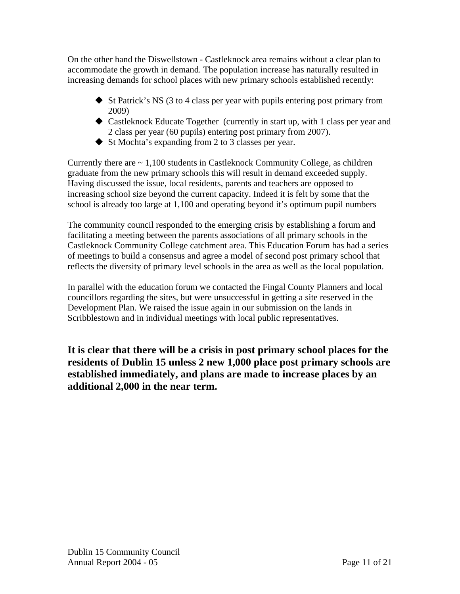On the other hand the Diswellstown - Castleknock area remains without a clear plan to accommodate the growth in demand. The population increase has naturally resulted in increasing demands for school places with new primary schools established recently:

- $\triangle$  St Patrick's NS (3 to 4 class per year with pupils entering post primary from 2009)
- Castleknock Educate Together (currently in start up, with 1 class per year and 2 class per year (60 pupils) entering post primary from 2007).
- $\blacklozenge$  St Mochta's expanding from 2 to 3 classes per year.

Currently there are  $\sim 1,100$  students in Castleknock Community College, as children graduate from the new primary schools this will result in demand exceeded supply. Having discussed the issue, local residents, parents and teachers are opposed to increasing school size beyond the current capacity. Indeed it is felt by some that the school is already too large at 1,100 and operating beyond it's optimum pupil numbers

The community council responded to the emerging crisis by establishing a forum and facilitating a meeting between the parents associations of all primary schools in the Castleknock Community College catchment area. This Education Forum has had a series of meetings to build a consensus and agree a model of second post primary school that reflects the diversity of primary level schools in the area as well as the local population.

In parallel with the education forum we contacted the Fingal County Planners and local councillors regarding the sites, but were unsuccessful in getting a site reserved in the Development Plan. We raised the issue again in our submission on the lands in Scribblestown and in individual meetings with local public representatives.

**It is clear that there will be a crisis in post primary school places for the residents of Dublin 15 unless 2 new 1,000 place post primary schools are established immediately, and plans are made to increase places by an additional 2,000 in the near term.**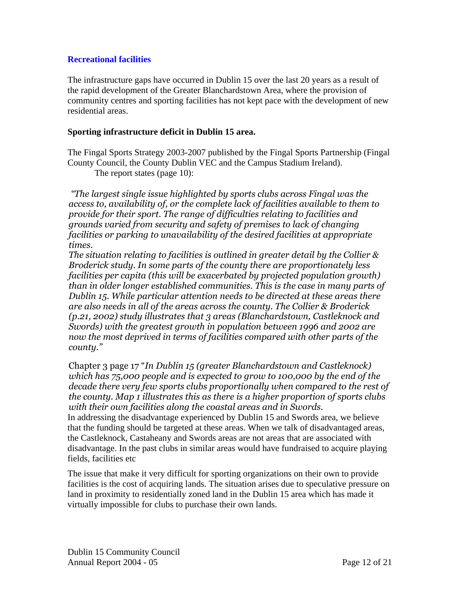#### **Recreational facilities**

The infrastructure gaps have occurred in Dublin 15 over the last 20 years as a result of the rapid development of the Greater Blanchardstown Area, where the provision of community centres and sporting facilities has not kept pace with the development of new residential areas.

#### **Sporting infrastructure deficit in Dublin 15 area.**

The Fingal Sports Strategy 2003-2007 published by the Fingal Sports Partnership (Fingal County Council, the County Dublin VEC and the Campus Stadium Ireland). The report states (page 10):

"The largest single issue highlighted by sports clubs across Fingal was the access to, availability of, or the complete lack of facilities available to them to provide for their sport. The range of difficulties relating to facilities and grounds varied from security and safety of premises to lack of changing facilities or parking to unavailability of the desired facilities at appropriate times.

The situation relating to facilities is outlined in greater detail by the Collier  $\&$ Broderick study. In some parts of the county there are proportionately less facilities per capita (this will be exacerbated by projected population growth) than in older longer established communities. This is the case in many parts of Dublin 15. While particular attention needs to be directed at these areas there are also needs in all of the areas across the county. The Collier & Broderick (p.21, 2002) study illustrates that 3 areas (Blanchardstown, Castleknock and Swords) with the greatest growth in population between 1996 and 2002 are now the most deprived in terms of facilities compared with other parts of the county."

Chapter 3 page 17 "In Dublin 15 (greater Blanchardstown and Castleknock) which has 75,000 people and is expected to grow to 100,000 by the end of the decade there very few sports clubs proportionally when compared to the rest of the county. Map 1 illustrates this as there is a higher proportion of sports clubs with their own facilities along the coastal areas and in Swords.

In addressing the disadvantage experienced by Dublin 15 and Swords area, we believe that the funding should be targeted at these areas. When we talk of disadvantaged areas, the Castleknock, Castaheany and Swords areas are not areas that are associated with disadvantage. In the past clubs in similar areas would have fundraised to acquire playing fields, facilities etc

The issue that make it very difficult for sporting organizations on their own to provide facilities is the cost of acquiring lands. The situation arises due to speculative pressure on land in proximity to residentially zoned land in the Dublin 15 area which has made it virtually impossible for clubs to purchase their own lands.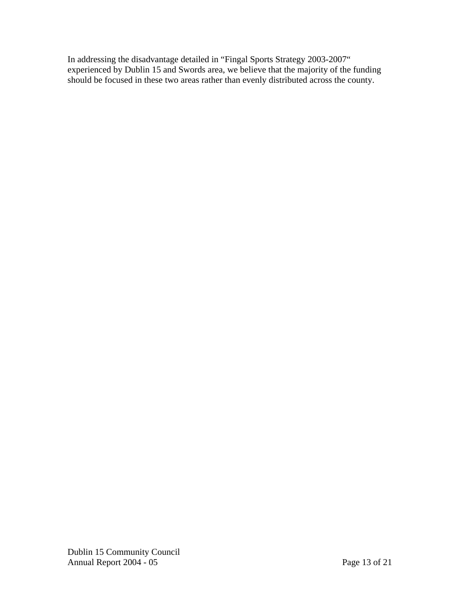In addressing the disadvantage detailed in "Fingal Sports Strategy 2003-2007" experienced by Dublin 15 and Swords area, we believe that the majority of the funding should be focused in these two areas rather than evenly distributed across the county.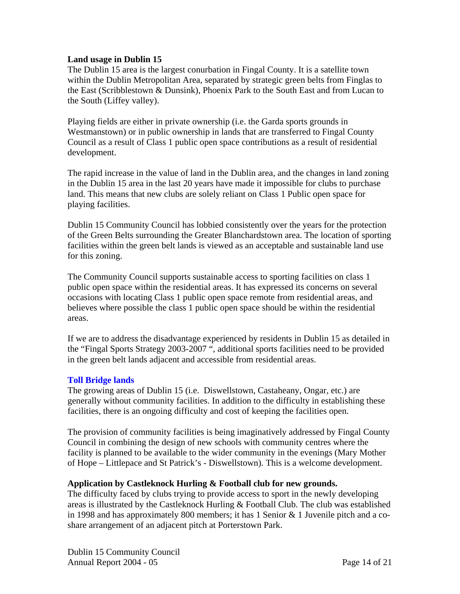#### **Land usage in Dublin 15**

The Dublin 15 area is the largest conurbation in Fingal County. It is a satellite town within the Dublin Metropolitan Area, separated by strategic green belts from Finglas to the East (Scribblestown & Dunsink), Phoenix Park to the South East and from Lucan to the South (Liffey valley).

Playing fields are either in private ownership (i.e. the Garda sports grounds in Westmanstown) or in public ownership in lands that are transferred to Fingal County Council as a result of Class 1 public open space contributions as a result of residential development.

The rapid increase in the value of land in the Dublin area, and the changes in land zoning in the Dublin 15 area in the last 20 years have made it impossible for clubs to purchase land. This means that new clubs are solely reliant on Class 1 Public open space for playing facilities.

Dublin 15 Community Council has lobbied consistently over the years for the protection of the Green Belts surrounding the Greater Blanchardstown area. The location of sporting facilities within the green belt lands is viewed as an acceptable and sustainable land use for this zoning.

The Community Council supports sustainable access to sporting facilities on class 1 public open space within the residential areas. It has expressed its concerns on several occasions with locating Class 1 public open space remote from residential areas, and believes where possible the class 1 public open space should be within the residential areas.

If we are to address the disadvantage experienced by residents in Dublin 15 as detailed in the "Fingal Sports Strategy 2003-2007 ", additional sports facilities need to be provided in the green belt lands adjacent and accessible from residential areas.

#### **Toll Bridge lands**

The growing areas of Dublin 15 (i.e. Diswellstown, Castaheany, Ongar, etc.) are generally without community facilities. In addition to the difficulty in establishing these facilities, there is an ongoing difficulty and cost of keeping the facilities open.

The provision of community facilities is being imaginatively addressed by Fingal County Council in combining the design of new schools with community centres where the facility is planned to be available to the wider community in the evenings (Mary Mother of Hope – Littlepace and St Patrick's - Diswellstown). This is a welcome development.

#### **Application by Castleknock Hurling & Football club for new grounds.**

The difficulty faced by clubs trying to provide access to sport in the newly developing areas is illustrated by the Castleknock Hurling & Football Club. The club was established in 1998 and has approximately 800 members; it has 1 Senior & 1 Juvenile pitch and a coshare arrangement of an adjacent pitch at Porterstown Park.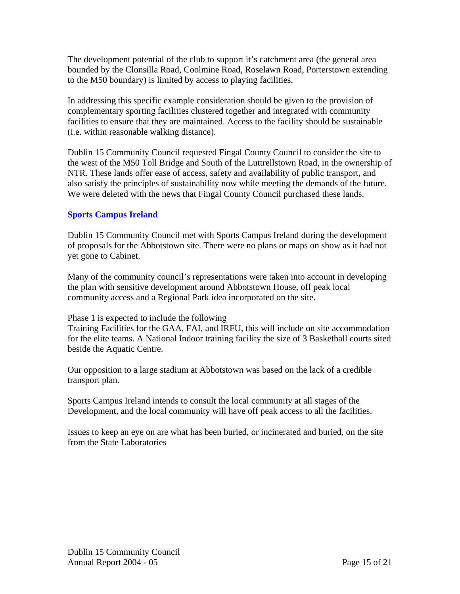The development potential of the club to support it's catchment area (the general area bounded by the Clonsilla Road, Coolmine Road, Roselawn Road, Porterstown extending to the M50 boundary) is limited by access to playing facilities.

In addressing this specific example consideration should be given to the provision of complementary sporting facilities clustered together and integrated with community facilities to ensure that they are maintained. Access to the facility should be sustainable (i.e. within reasonable walking distance).

Dublin 15 Community Council requested Fingal County Council to consider the site to the west of the M50 Toll Bridge and South of the Luttrellstown Road, in the ownership of NTR. These lands offer ease of access, safety and availability of public transport, and also satisfy the principles of sustainability now while meeting the demands of the future. We were deleted with the news that Fingal County Council purchased these lands.

### **Sports Campus Ireland**

Dublin 15 Community Council met with Sports Campus Ireland during the development of proposals for the Abbotstown site. There were no plans or maps on show as it had not yet gone to Cabinet.

Many of the community council's representations were taken into account in developing the plan with sensitive development around Abbotstown House, off peak local community access and a Regional Park idea incorporated on the site.

Phase 1 is expected to include the following

Training Facilities for the GAA, FAI, and IRFU, this will include on site accommodation for the elite teams. A National Indoor training facility the size of 3 Basketball courts sited beside the Aquatic Centre.

Our opposition to a large stadium at Abbotstown was based on the lack of a credible transport plan.

Sports Campus Ireland intends to consult the local community at all stages of the Development, and the local community will have off peak access to all the facilities.

Issues to keep an eye on are what has been buried, or incinerated and buried, on the site from the State Laboratories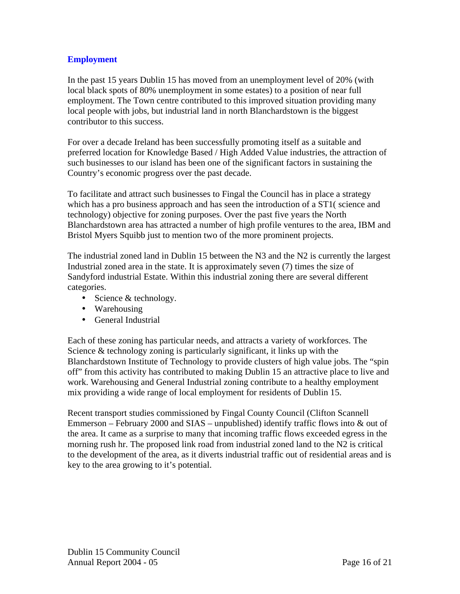#### **Employment**

In the past 15 years Dublin 15 has moved from an unemployment level of 20% (with local black spots of 80% unemployment in some estates) to a position of near full employment. The Town centre contributed to this improved situation providing many local people with jobs, but industrial land in north Blanchardstown is the biggest contributor to this success.

For over a decade Ireland has been successfully promoting itself as a suitable and preferred location for Knowledge Based / High Added Value industries, the attraction of such businesses to our island has been one of the significant factors in sustaining the Country's economic progress over the past decade.

To facilitate and attract such businesses to Fingal the Council has in place a strategy which has a pro business approach and has seen the introduction of a ST1( science and technology) objective for zoning purposes. Over the past five years the North Blanchardstown area has attracted a number of high profile ventures to the area, IBM and Bristol Myers Squibb just to mention two of the more prominent projects.

The industrial zoned land in Dublin 15 between the N3 and the N2 is currently the largest Industrial zoned area in the state. It is approximately seven (7) times the size of Sandyford industrial Estate. Within this industrial zoning there are several different categories.

- Science & technology.
- Warehousing
- General Industrial

Each of these zoning has particular needs, and attracts a variety of workforces. The Science & technology zoning is particularly significant, it links up with the Blanchardstown Institute of Technology to provide clusters of high value jobs. The "spin off" from this activity has contributed to making Dublin 15 an attractive place to live and work. Warehousing and General Industrial zoning contribute to a healthy employment mix providing a wide range of local employment for residents of Dublin 15.

Recent transport studies commissioned by Fingal County Council (Clifton Scannell Emmerson – February 2000 and SIAS – unpublished) identify traffic flows into  $\&$  out of the area. It came as a surprise to many that incoming traffic flows exceeded egress in the morning rush hr. The proposed link road from industrial zoned land to the N2 is critical to the development of the area, as it diverts industrial traffic out of residential areas and is key to the area growing to it's potential.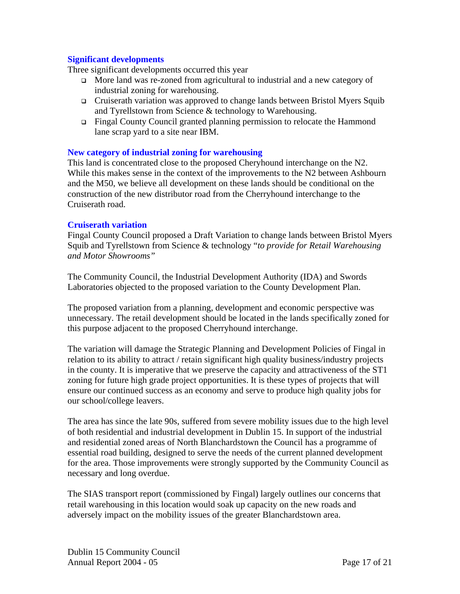#### **Significant developments**

Three significant developments occurred this year

- More land was re-zoned from agricultural to industrial and a new category of industrial zoning for warehousing.
- Cruiserath variation was approved to change lands between Bristol Myers Squib and Tyrellstown from Science & technology to Warehousing.
- Fingal County Council granted planning permission to relocate the Hammond lane scrap yard to a site near IBM.

#### **New category of industrial zoning for warehousing**

This land is concentrated close to the proposed Cheryhound interchange on the N2. While this makes sense in the context of the improvements to the N2 between Ashbourn and the M50, we believe all development on these lands should be conditional on the construction of the new distributor road from the Cherryhound interchange to the Cruiserath road.

#### **Cruiserath variation**

Fingal County Council proposed a Draft Variation to change lands between Bristol Myers Squib and Tyrellstown from Science & technology "*to provide for Retail Warehousing and Motor Showrooms"* 

The Community Council, the Industrial Development Authority (IDA) and Swords Laboratories objected to the proposed variation to the County Development Plan.

The proposed variation from a planning, development and economic perspective was unnecessary. The retail development should be located in the lands specifically zoned for this purpose adjacent to the proposed Cherryhound interchange.

The variation will damage the Strategic Planning and Development Policies of Fingal in relation to its ability to attract / retain significant high quality business/industry projects in the county. It is imperative that we preserve the capacity and attractiveness of the ST1 zoning for future high grade project opportunities. It is these types of projects that will ensure our continued success as an economy and serve to produce high quality jobs for our school/college leavers.

The area has since the late 90s, suffered from severe mobility issues due to the high level of both residential and industrial development in Dublin 15. In support of the industrial and residential zoned areas of North Blanchardstown the Council has a programme of essential road building, designed to serve the needs of the current planned development for the area. Those improvements were strongly supported by the Community Council as necessary and long overdue.

The SIAS transport report (commissioned by Fingal) largely outlines our concerns that retail warehousing in this location would soak up capacity on the new roads and adversely impact on the mobility issues of the greater Blanchardstown area.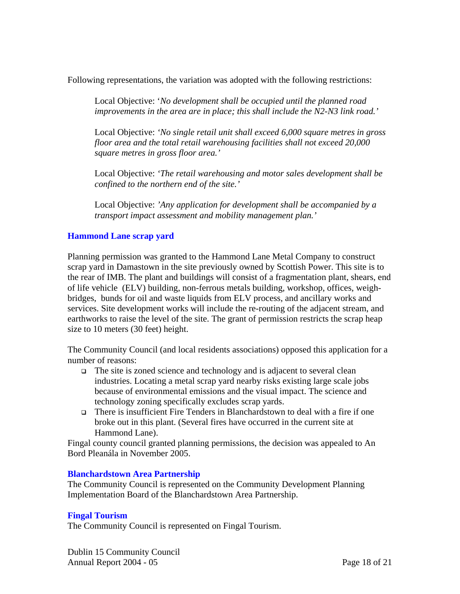Following representations, the variation was adopted with the following restrictions:

Local Objective: '*No development shall be occupied until the planned road improvements in the area are in place; this shall include the N2-N3 link road.'* 

Local Objective: *'No single retail unit shall exceed 6,000 square metres in gross floor area and the total retail warehousing facilities shall not exceed 20,000 square metres in gross floor area.'* 

Local Objective: *'The retail warehousing and motor sales development shall be confined to the northern end of the site.'* 

Local Objective: *'Any application for development shall be accompanied by a transport impact assessment and mobility management plan.'* 

#### **Hammond Lane scrap yard**

Planning permission was granted to the Hammond Lane Metal Company to construct scrap yard in Damastown in the site previously owned by Scottish Power. This site is to the rear of IMB. The plant and buildings will consist of a fragmentation plant, shears, end of life vehicle (ELV) building, non-ferrous metals building, workshop, offices, weighbridges, bunds for oil and waste liquids from ELV process, and ancillary works and services. Site development works will include the re-routing of the adjacent stream, and earthworks to raise the level of the site. The grant of permission restricts the scrap heap size to 10 meters (30 feet) height.

The Community Council (and local residents associations) opposed this application for a number of reasons:

- $\Box$  The site is zoned science and technology and is adjacent to several clean industries. Locating a metal scrap yard nearby risks existing large scale jobs because of environmental emissions and the visual impact. The science and technology zoning specifically excludes scrap yards.
- There is insufficient Fire Tenders in Blanchardstown to deal with a fire if one broke out in this plant. (Several fires have occurred in the current site at Hammond Lane).

Fingal county council granted planning permissions, the decision was appealed to An Bord Pleanála in November 2005.

#### **Blanchardstown Area Partnership**

The Community Council is represented on the Community Development Planning Implementation Board of the Blanchardstown Area Partnership.

#### **Fingal Tourism**

The Community Council is represented on Fingal Tourism.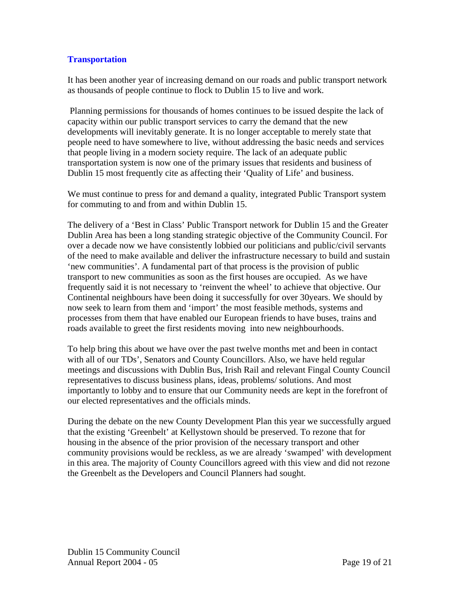#### **Transportation**

It has been another year of increasing demand on our roads and public transport network as thousands of people continue to flock to Dublin 15 to live and work.

 Planning permissions for thousands of homes continues to be issued despite the lack of capacity within our public transport services to carry the demand that the new developments will inevitably generate. It is no longer acceptable to merely state that people need to have somewhere to live, without addressing the basic needs and services that people living in a modern society require. The lack of an adequate public transportation system is now one of the primary issues that residents and business of Dublin 15 most frequently cite as affecting their 'Quality of Life' and business.

We must continue to press for and demand a quality, integrated Public Transport system for commuting to and from and within Dublin 15.

The delivery of a 'Best in Class' Public Transport network for Dublin 15 and the Greater Dublin Area has been a long standing strategic objective of the Community Council. For over a decade now we have consistently lobbied our politicians and public/civil servants of the need to make available and deliver the infrastructure necessary to build and sustain 'new communities'. A fundamental part of that process is the provision of public transport to new communities as soon as the first houses are occupied. As we have frequently said it is not necessary to 'reinvent the wheel' to achieve that objective. Our Continental neighbours have been doing it successfully for over 30years. We should by now seek to learn from them and 'import' the most feasible methods, systems and processes from them that have enabled our European friends to have buses, trains and roads available to greet the first residents moving into new neighbourhoods.

To help bring this about we have over the past twelve months met and been in contact with all of our TDs', Senators and County Councillors. Also, we have held regular meetings and discussions with Dublin Bus, Irish Rail and relevant Fingal County Council representatives to discuss business plans, ideas, problems/ solutions. And most importantly to lobby and to ensure that our Community needs are kept in the forefront of our elected representatives and the officials minds.

During the debate on the new County Development Plan this year we successfully argued that the existing 'Greenbelt' at Kellystown should be preserved. To rezone that for housing in the absence of the prior provision of the necessary transport and other community provisions would be reckless, as we are already 'swamped' with development in this area. The majority of County Councillors agreed with this view and did not rezone the Greenbelt as the Developers and Council Planners had sought.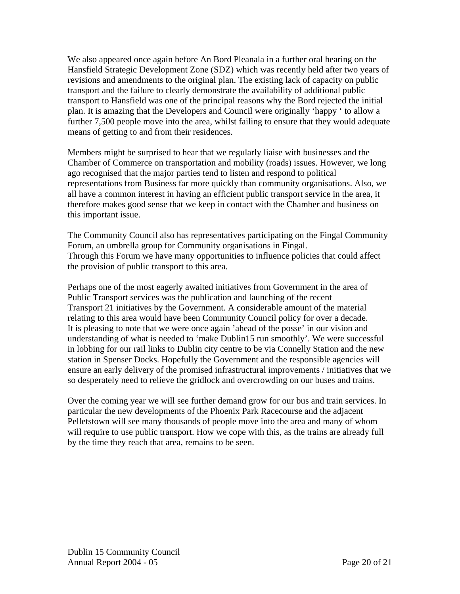We also appeared once again before An Bord Pleanala in a further oral hearing on the Hansfield Strategic Development Zone (SDZ) which was recently held after two years of revisions and amendments to the original plan. The existing lack of capacity on public transport and the failure to clearly demonstrate the availability of additional public transport to Hansfield was one of the principal reasons why the Bord rejected the initial plan. It is amazing that the Developers and Council were originally 'happy ' to allow a further 7,500 people move into the area, whilst failing to ensure that they would adequate means of getting to and from their residences.

Members might be surprised to hear that we regularly liaise with businesses and the Chamber of Commerce on transportation and mobility (roads) issues. However, we long ago recognised that the major parties tend to listen and respond to political representations from Business far more quickly than community organisations. Also, we all have a common interest in having an efficient public transport service in the area, it therefore makes good sense that we keep in contact with the Chamber and business on this important issue.

The Community Council also has representatives participating on the Fingal Community Forum, an umbrella group for Community organisations in Fingal. Through this Forum we have many opportunities to influence policies that could affect the provision of public transport to this area.

Perhaps one of the most eagerly awaited initiatives from Government in the area of Public Transport services was the publication and launching of the recent Transport 21 initiatives by the Government. A considerable amount of the material relating to this area would have been Community Council policy for over a decade. It is pleasing to note that we were once again 'ahead of the posse' in our vision and understanding of what is needed to 'make Dublin15 run smoothly'. We were successful in lobbing for our rail links to Dublin city centre to be via Connelly Station and the new station in Spenser Docks. Hopefully the Government and the responsible agencies will ensure an early delivery of the promised infrastructural improvements / initiatives that we so desperately need to relieve the gridlock and overcrowding on our buses and trains.

Over the coming year we will see further demand grow for our bus and train services. In particular the new developments of the Phoenix Park Racecourse and the adjacent Pelletstown will see many thousands of people move into the area and many of whom will require to use public transport. How we cope with this, as the trains are already full by the time they reach that area, remains to be seen.